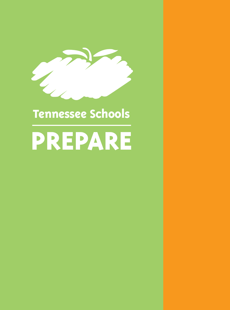

# TENNESSEE SCHOOLS **Tennessee Schools**

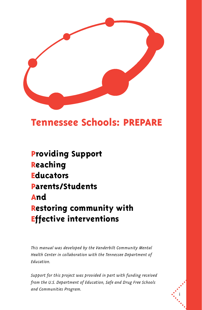

### **Tennessee Schools: PREPARE**

**Providing Support Reaching Educators Parents/Students And Restoring community with Effective interventions**

*This manual was developed by the Vanderbilt Community Mental Health Center in collaboration with the Tennessee Department of Education.*

*Support for this project was provided in part with funding received from the U.S. Department of Education, Safe and Drug Free Schools and Communities Program.*

i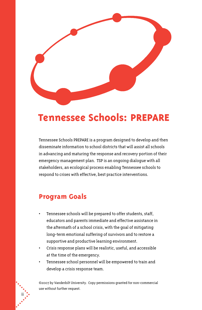

### **Tennessee Schools: PREPARE**

Tennessee Schools PREPARE is a program designed to develop and then disseminate information to school districts that will assist all schools in advancing and maturing the response and recovery portion of their emergency management plan. TSP is an ongoing dialogue with all stakeholders, an ecological process enabling Tennessee schools to respond to crises with effective, best practice interventions.

### **Program Goals**

- Tennessee schools will be prepared to offer students, staff, educators and parents immediate and effective assistance in the aftermath of a school crisis, with the goal of mitigating long-term emotional suffering of survivors and to restore a supportive and productive learning environment.
- Crisis response plans will be realistic, useful, and accessible at the time of the emergency.
- Tennessee school personnel will be empowered to train and develop a crisis response team.

©2007 by Vanderbilt University. Copy permissions granted for non-commercial use without further request.

ii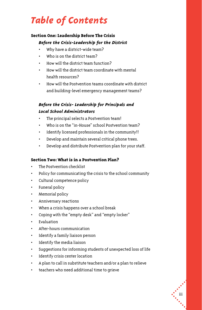# *Table of Contents*

### **Section One: Leadership Before The Crisis** *Before the Crisis-Leadership for the District*

- Why have a district-wide team?
- Who is on the district team?
- How will the district team function?
- How will the district team coordinate with mental health resources?
- How will the Postvention teams coordinate with district and building-level emergency management teams?

### *Before the Crisis- Leadership for Principals and Local School Administrators*

- The principal selects a Postvention team!
- Who is on the "in-House" school Postvention team?
- Identify licensed professionals in the community!!
- Develop and maintain several critical phone trees.
- Develop and distribute Postvention plan for your staff.

### **Section Two: What is in a Postvention Plan?**

- The Postvention checklist
- Policy for communicating the crisis to the school community
- Cultural competence policy
- Funeral policy
- Memorial policy
- Anniversary reactions
- When a crisis happens over a school break
- Coping with the "empty desk" and "empty locker"
- Evaluation
- After-hours communication
- Identify a family liaison person
- Identify the media liaison
- Suggestions for informing students of unexpected loss of life
- Identify crisis center location
- A plan to call in substitute teachers and/or a plan to relieve
- teachers who need additional time to grieve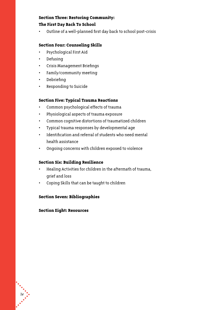### **Section Three: Restoring Community: The First Day Back To School**

• Outline of a well-planned first day back to school post-crisis

### **Section Four: Counseling Skills**

- Psychological First Aid
- Defusing
- Crisis Management Briefings
- Family/community meeting
- Debriefing
- Responding to Suicide

### **Section Five: Typical Trauma Reactions**

- Common psychological effects of trauma
- Physiological aspects of trauma exposure
- Common cognitive distortions of traumatized children
- Typical trauma responses by developmental age
- Identification and referral of students who need mental health assistance
- Ongoing concerns with children exposed to violence

### **Section Six: Building Resilience**

- Healing Activities for children in the aftermath of trauma, grief and loss
- Coping Skills that can be taught to children

### **Section Seven: Bibliographies**

### **Section Eight: Resources**

 $\ddot{\cdot}$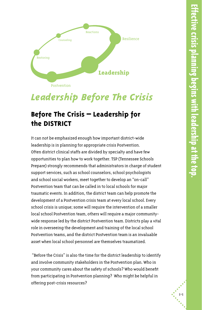

# *Leadership Before The Crisis*

### **Before The Crisis – Leadership for the DISTRICT**

It can not be emphasized enough how important district-wide leadership is in planning for appropriate crisis Postvention. Often district clinical staffs are divided by specialty and have few opportunities to plan how to work together. TSP (Tennessee Schools Prepare) strongly recommends that administrators in charge of student support services, such as school counselors, school psychologists and school social workers, meet together to develop an "on-call" Postvention team that can be called in to local schools for major traumatic events. In addition, the district team can help promote the development of a Postvention crisis team at every local school. Every school crisis is unique; some will require the intervention of a smaller local school Postvention team, others will require a major communitywide response led by the district Postvention team. Districts play a vital role in overseeing the development and training of the local school Postvention teams, and the district Postvention team is an invaluable asset when local school personnel are themselves traumatized.

 "Before the Crisis" is also the time for the district leadership to identify and involve community stakeholders in the Postvention plan. Who in your community cares about the safety of schools? Who would benefit from participating in Postvention planning? Who might be helpful in offering post-crisis resources?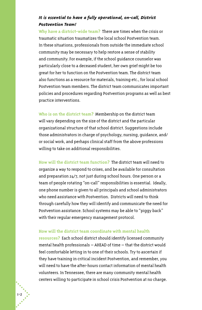### *It is essential to have a fully operational, on-call, District Postvention Team!*

**Why have a district-wide team?** There are times when the crisis or traumatic situation traumatizes the local school Postvention team. In these situations, professionals from outside the immediate school community may be necessary to help restore a sense of stability and community. For example, if the school guidance counselor was particularly close to a deceased student, her own grief might be too great for her to function on the Postvention team. The district team also functions as a resource for materials, training etc., for local school Postvention team members. The district team communicates important policies and procedures regarding Postvention programs as well as best practice interventions.

**Who is on the district team?** Membership on the district team will vary depending on the size of the district and the particular organizational structure of that school district. Suggestions include those administrators in charge of psychology, nursing, guidance, and/ or social work, and perhaps clinical staff from the above professions willing to take on additional responsibilities.

**How will the district team function?** The district team will need to organize a way to respond to crises, and be available for consultation and preparation 24/7, not just during school hours. One person or a team of people rotating "on-call" responsibilities is essential. Ideally, one phone number is given to all principals and school administrators who need assistance with Postvention. Districts will need to think through carefully how they will identify and communicate the need for Postvention assistance. School systems may be able to "piggy back" with their regular emergency management protocol.

### **How will the district team coordinate with mental health**

**resources?** Each school district should identify licensed community mental health professionals – AHEAD of time – that the district would feel comfortable letting in to one of their schools. Try to ascertain if they have training in critical incident Postvention, and remember, you will need to have the after-hours contact information of mental health volunteers. In Tennessee, there are many community mental health centers willing to participate in school crisis Postvention at no charge.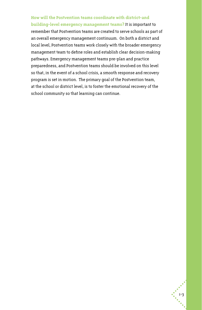### **How will the Postvention teams coordinate with district-and**

**building-level emergency management teams?** It is important to remember that Postvention teams are created to serve schools as part of an overall emergency management continuum. On both a district and local level, Postvention teams work closely with the broader emergency management team to define roles and establish clear decision-making pathways. Emergency management teams pre-plan and practice preparedness, and Postvention teams should be involved on this level so that, in the event of a school crisis, a smooth response and recovery program is set in motion. The primary goal of the Postvention team, at the school or district level, is to foster the emotional recovery of the school community so that learning can continue.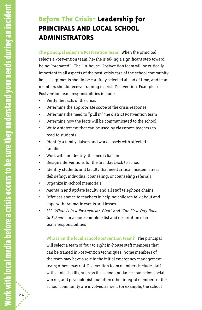### **Before The Crisis- Leadership for PRINCIPALS AND LOCAL SCHOOL ADMINISTRATORS**

**The principal selects a Postvention team!** When the principal selects a Postvention team, he/she is taking a significant step toward being "prepared". The "in-house" Postvention team will be critically important in all aspects of the post-crisis care of the school community. Role assignments should be carefully selected ahead of time, and team members should receive training in crisis Postvention. Examples of Postvention team responsibilities include:

- Verify the facts of the crisis
- Determine the appropriate scope of the crisis response
- Determine the need to "pull in" the district Postvention team
- Determine how the facts will be communicated to the school
- Write a statement that can be used by classroom teachers to read to students
- Identify a family liaison and work closely with affected families
- Work with, or identify, the media liaison
- Design interventions for the first day back to school
- Identify students and faculty that need critical incident stress debriefing, individual counseling, or counseling referrals
- Organize in-school memorials
- Maintain and update faculty and all staff telephone chains
- Offer assistance to teachers in helping children talk about and cope with traumatic events and losses
- SEE *"What is in a Postvention Plan"* and *"The First Day Back to School"* for a more complete list and description of crisis team responsibilities

**Who is on the local school Postvention team?** The principal will select a team of four to eight in-house staff members that can be trained in Postvention techniques. Some members of the team may have a role in the initial emergency management team; others may not. Postvention team members include staff with clinical skills, such as the school guidance counselor, social worker, and psychologist, but often other integral members of the school community are involved as well. For example, the school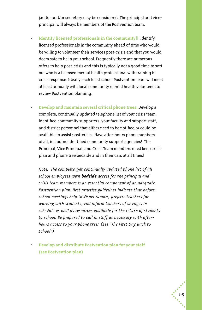janitor and/or secretary may be considered. The principal and viceprincipal will always be members of the Postvention team.

- **Identify licensed professionals in the community!!** Identify licensed professionals in the community ahead of time who would be willing to volunteer their services post-crisis and that you would deem safe to be in your school. Frequently there are numerous offers to help post-crisis and this is typically not a good time to sort out who is a licensed mental health professional with training in crisis response. Ideally each local school Postvention team will meet at least annually with local community mental health volunteers to review Postvention planning.
- **Develop and maintain several critical phone trees:** Develop a complete, continually updated telephone list of your crisis team, identified community supporters, your faculty and support staff, and district personnel that either need to be notified or could be available to assist post-crisis. Have after-hours phone numbers of all, including identified community support agencies! The Principal, Vice Principal, and Crisis Team members must keep crisis plan and phone tree bedside and in their cars at all times!

*Note: The complete, yet continually updated phone list of all school employees with bedside access for the principal and crisis team members is an essential component of an adequate Postvention plan. Best practice guidelines indicate that beforeschool meetings help to dispel rumors, prepare teachers for working with students, and inform teachers of changes in schedule as well as resources available for the return of students to school. Be prepared to call in staff as necessary with afterhours access to your phone tree! (See "The First Day Back to School")*

• **Develop and distribute Postvention plan for your staff (see Postvention plan)**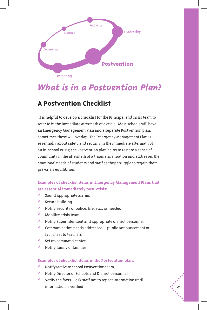

### *What is in a Postvention Plan?*

### **A Postvention Checklist**

 It is helpful to develop a checklist for the Principal and crisis team to refer to in the immediate aftermath of a crisis. Most schools will have an Emergency Management Plan and a separate Postvention plan, sometimes these will overlap. The Emergency Management Plan is essentially about safety and security in the immediate aftermath of an in-school crisis; the Postvention plan helps to restore a sense of community in the aftermath of a traumatic situation and addresses the emotional needs of students and staff as they struggle to regain their pre-crisis equilibrium.

### **Examples of checklist items in Emergency Management Plans that are essential immediately post-crisis:**

- Sound appropriate alarms
- Secure building
- h Notify security or police, fire, etc., as needed
- Mobilize crisis team
- h Notify Superintendent and appropriate district personnel
- Communication needs addressed public announcement or fact sheet to teachers
- Set up command center
- h Notify family or families

### **Examples of checklist items in the Postvention plan:**

- h Notify/activate school Postvention team
- h Notify Director of Schools and District personnel
- Verify the facts  $-$  ask staff not to repeat information until information is verified!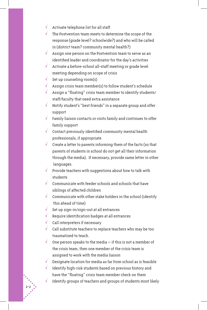- $\sqrt{\phantom{a}}$  Activate telephone list for all staff
- $\sqrt{\phantom{a}}$  The Postvention team meets to determine the scope of the response (grade level? schoolwide?) and who will be called in (district team? community mental health?)
- $\sqrt{ }$  Assign one person on the Postvention team to serve as an identified leader and coordinator for the day's activities
- $\sqrt{\phantom{a}}$  Activate a before-school all-staff meeting or grade level meeting depending on scope of crisis
- $\sqrt{\phantom{a}}$  Set up counseling room(s)
- $\sqrt{\phantom{a}}$  Assign crisis team member(s) to follow student's schedule
- $\sqrt{ }$  Assign a "floating" crisis team member to identify students/ staff/faculty that need extra assistance
- h Notify student's "best friends" in a separate group and offer support
- $\sqrt{\phantom{a}}$  Family liaison contacts or visits family and continues to offer family support
- $\sqrt{\phantom{a}}$  Contact previously identified community mental health professionals, if appropriate
- $\sqrt{\phantom{a}}$  Create a letter to parents informing them of the facts (so that parents of students in school do not get all their information through the media). If necessary, provide same letter in other languages.
- Provide teachers with suggestions about how to talk with students
- $\sqrt{\phantom{a}}$  Communicate with feeder schools and schools that have siblings of affected children
- Communicate with other stake holders in the school (identify this ahead of time)
- $\sqrt{\phantom{a}}$  Set up sign-in/sign-out at all entrances
- $\sqrt{\phantom{a}}$  Require identification badges at all entrances
- $\sqrt{\phantom{a}}$  Call interpreters if necessary

- $\sqrt{\phantom{a}}$  Call substitute teachers to replace teachers who may be too traumatized to teach.
- $\sqrt{\phantom{a}}$  One person speaks to the media if this is not a member of the crisis team, then one member of the crisis team is assigned to work with the media liaison
	- Designate location for media as far from school as is feasible
- Identify high-risk students based on previous history and have the "floating" crisis team member check on them
	- Identify groups of teachers and groups of students most likely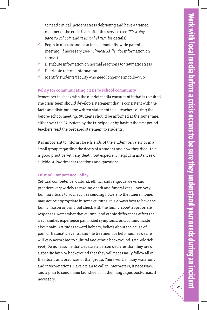2-3

to need critical incident stress debriefing and have a trained member of the crisis team offer this service (see *"First day back to school"* and *"Clinical skills"* for details)

- Begin to discuss and plan for a community-wide parent meeting, if necessary (see *"Clinical Skills"* for information on format)
- Distribute information on normal reactions to traumatic stress
- Distribute referral information
- Identify students/faculty who need longer-term follow-up

### **Policy for communicating crisis to school community**

Remember to check with the district media consultant if that is required. The crisis team should develop a statement that is consistent with the facts and distribute the written statement to all teachers during the before-school meeting. Students should be informed at the same time, either over the PA system by the Principal, or by having the first period teachers read the prepared statement to students.

It is important to inform close friends of the student privately or in a small group regarding the death of a student and how they died. This is good practice with any death, but especially helpful in instances of suicide. Allow time for reactions and questions.

#### **Cultural Competence Policy**

Cultural competence: Cultural, ethnic, and religious views and practices vary widely regarding death and funeral rites. Even very familiar rituals to you, such as sending flowers to the funeral home, may not be appropriate in some cultures. It is always best to have the family liaison or principal check with the family about appropriate responses. Remember that cultural and ethnic differences affect the way families experience pain, label symptoms, and communicate about pain. Attitudes toward helpers, beliefs about the cause of pain or traumatic events, and the treatment or help families desire will vary according to cultural and ethnic background. (McGoldrick 1996) Do not assume that because a person declares that they are of a specific faith or background that they will necessarily follow all of the rituals and practices of that group. There will be many variations and interpretations. Have a plan to call in interpreters, if necessary, and a plan to send home fact sheets in other languages post-crisis, if necessary.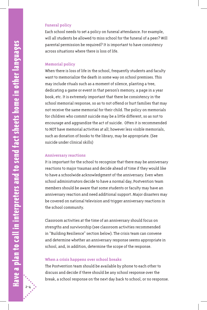### **Funeral policy**

Each school needs to set a policy on funeral attendance. For example, will all students be allowed to miss school for the funeral of a peer? Will parental permission be required? It is important to have consistency across situations where there is loss of life.

#### **Memorial policy**

When there is loss of life in the school, frequently students and faculty want to memorialize the death in some way on school premises. This may include rituals such as a moment of silence, planting a tree, dedicating a game or event in that person's memory, a page in a year book, etc. It is extremely important that there be consistency in the school memorial response, so as to not offend or hurt families that may not receive the same memorial for their child. The policy on memorials for children who commit suicide may be a little different, so as not to encourage and aggrandize the act of suicide. Often it is recommended to NOT have memorial activities at all; however less visible memorials, such as donation of books to the library, may be appropriate. (See suicide under clinical skills)

### **Anniversary reactions**

It is important for the school to recognize that there may be anniversary reactions to major traumas and decide ahead of time if they would like to have a schoolwide acknowledgment of the anniversary. Even when school administrators decide to have a normal day, Postvention team members should be aware that some students or faculty may have an anniversary reaction and need additional support. Major disasters may be covered on national television and trigger anniversary reactions in the school community.

Classroom activities at the time of an anniversary should focus on strengths and survivorship (see classroom activities recommended in "Building Resilience" section below). The crisis team can convene and determine whether an anniversary response seems appropriate in school, and, in addition, determine the scope of the response.

#### **When a crisis happens over school breaks**

The Postvention team should be available by phone to each other to discuss and decide if there should be any school response over the break, a school response on the next day back to school, or no response.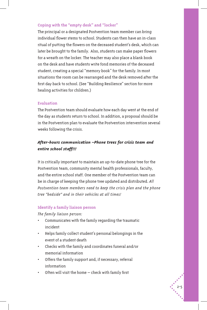### **Coping with the "empty desk" and "locker"**

The principal or a designated Postvention team member can bring individual flower stems to school. Students can then have an in-class ritual of putting the flowers on the deceased student's desk, which can later be brought to the family. Also, students can make paper flowers for a wreath on the locker. The teacher may also place a blank book on the desk and have students write fond memories of the deceased student, creating a special "memory book" for the family. In most situations the room can be rearranged and the desk removed after the first day back to school. (See "Building Resilience" section for more healing activities for children.)

### **Evaluation**

The Postvention team should evaluate how each day went at the end of the day as students return to school. In addition, a proposal should be in the Postvention plan to evaluate the Postvention intervention several weeks following the crisis.

### *After-hours communication –Phone trees for crisis team and entire school staff!!!*

It is critically important to maintain an up-to-date phone tree for the Postvention team, community mental health professionals, faculty, and the entire school staff. One member of the Postvention team can be in charge of keeping the phone tree updated and distributed. *All Postvention team members need to keep the crisis plan and the phone tree "bedside" and in their vehicles at all times!* 

### **Identify a family liaison person**

*The family liaison person:*

- Communicates with the family regarding the traumatic incident
- Helps family collect student's personal belongings in the event of a student death
- Checks with the family and coordinates funeral and/or memorial information
- Offers the family support and, if necessary, referral information
- Often will visit the home  $-$  check with family first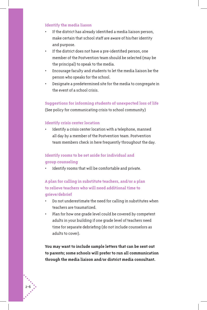#### **Identify the media liason**

- If the district has already identified a media liaison person, make certain that school staff are aware of his/her identity and purpose.
- If the district does not have a pre-identified person, one member of the Postvention team should be selected (may be the principal) to speak to the media.
- Encourage faculty and students to let the media liaison be the person who speaks for the school.
- Designate a predetermined site for the media to congregate in the event of a school crisis.

### **Suggestions for informing students of unexpected loss of life**

(See policy for communicating crisis to school community)

### **Identify crisis center location**

Identify a crisis center location with a telephone, manned all day by a member of the Postvention team. Postvention team members check in here frequently throughout the day.

### **Identify rooms to be set aside for individual and group counseling**

Identify rooms that will be comfortable and private.

**A plan for calling in substitute teachers, and/or a plan to relieve teachers who will need additional time to grieve/debrief**

- Do not underestimate the need for calling in substitutes when teachers are traumatized.
- Plan for how one grade level could be covered by competent adults in your building if one grade level of teachers need time for separate debriefing (do not include counselors as adults to cover).

**You may want to include sample letters that can be sent out to parents; some schools will prefer to run all communication through the media liaison and/or district media consultant.**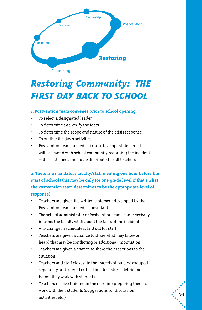

# *Restoring Community: THE FIRST DAY BACK TO SCHOOL*

### **1. Postvention team convenes prior to school opening**

- To select a designated leader
- To determine and verify the facts
- To determine the scope and nature of the crisis response
- To outline the day's activities
- Postvention team or media liaison develops statement that will be shared with school community regarding the incident – this statement should be distributed to all teachers

**2. There is a mandatory faculty/staff meeting one hour before the start of school (this may be only for one grade level if that's what the Postvention team determines to be the appropriate level of response)**

- Teachers are given the written statement developed by the Postvention team or media consultant
- The school administrator or Postvention team leader verbally informs the faculty/staff about the facts of the incident
- Any change in schedule is laid out for staff
- Teachers are given a chance to share what they know or heard that may be conflicting or additional information
- Teachers are given a chance to share their reactions to the situation
- Teachers and staff closest to the tragedy should be grouped separately and offered critical incident stress debriefing before they work with students!
- Teachers receive training in the morning preparing them to work with their students (suggestions for discussion, activities, etc.)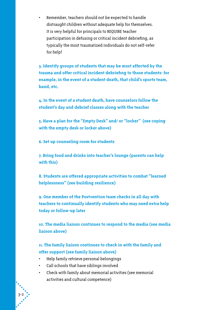Remember, teachers should not be expected to handle distraught children without adequate help for themselves. It is very helpful for principals to REQUIRE teacher participation in defusing or critical incident debriefing, as typically the most traumatized individuals do not self-refer for help!

**3. Identify groups of students that may be most affected by the trauma and offer critical incident debriefing to those students: for example, in the event of a student death, that child's sports team, band, etc.** 

**4. In the event of a student death, have counselors follow the student's day and debrief classes along with the teacher**

**5. Have a plan for the "Empty Desk" and/ or "locker" (see coping with the empty desk or locker above)** 

**6. Set up counseling room for students**

**7. Bring food and drinks into teacher's lounge (parents can help with this)**

**8. Students are offered appropriate activities to combat "learned helplessness" (see building resilience)** 

**9. One member of the Postvention team checks in all day with teachers to continually identify students who may need extra help today or follow-up later**

**10. The media liaison continues to respond to the media (see media liaison above)**

**11. The family liaison continues to check in with the family and offer support (see family liaison above)**

- • Help family retrieve personal belongings
- • Call schools that have siblings involved
- Check with family about memorial activities (see memorial activities and cultural competence)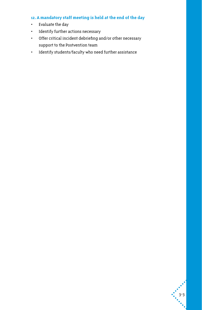### **12. A mandatory staff meeting is held at the end of the day**

- • Evaluate the day
- • Identify further actions necessary
- • Offer critical incident debriefing and/or other necessary support to the Postvention team
- • Identify students/faculty who need further assistance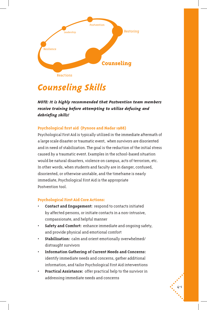

### *Counseling Skills*

*NOTE: It is highly recommended that Postvention team members receive training before attempting to utilize defusing and debriefing skills!*

### **Psychological first aid (Pynoos and Nadar 1988)**

Psychological First Aid is typically utilized in the immediate aftermath of a large scale disaster or traumatic event, when survivors are disoriented and in need of stabilization. The goal is the reduction of the initial stress caused by a traumatic event. Examples in the school-based situation would be natural disasters, violence on campus, acts of terrorism, etc. In other words, when students and faculty are in danger, confused, disoriented, or otherwise unstable, and the timeframe is nearly immediate, Psychological First Aid is the appropriate Postvention tool.

### **Psychological First Aid Core Actions:**

- **Contact and Engagement:** respond to contacts initiated by affected persons, or initiate contacts in a non-intrusive, compassionate, and helpful manner
- **Safety and Comfort:** enhance immediate and ongoing safety, and provide physical and emotional comfort
- **Stabilization:** calm and orient emotionally overwhelmed/ distraught survivors
- **Information Gathering of Current Needs and Concerns:** identify immediate needs and concerns, gather additional information, and tailor Psychological First Aid interventions
- **Practical Assistance:** offer practical help to the survivor in addressing immediate needs and concerns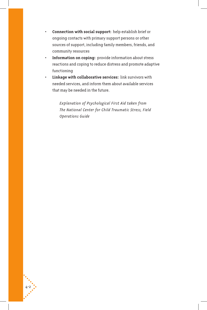- **Connection with social support:** help establish brief or ongoing contacts with primary support persons or other sources of support, including family members, friends, and community resources
- **Information on coping:** provide information about stress reactions and coping to reduce distress and promote adaptive functioning
- **Linkage with collaborative services:** link survivors with needed services, and inform them about available services that may be needed in the future.

4-2

 *Explanation of Psychological First Aid taken from The National Center for Child Traumatic Stress, Field Operations Guide*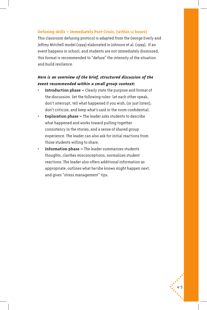### **Defusing skills – Immediately Post-Crisis, (within 12 hours)**

This classroom defusing protocol is adapted from the George Everly and Jeffrey Mitchell model (1999) elaborated in Johnson et al. (1999). If an event happens in school, and students are not immediately dismissed, this format is recommended to "defuse" the intensity of the situation and build resilience.

### *Here is an overview of the brief, structured discussion of the event recommended within a small group context:*

- **Introduction phase –** Clearly state the purpose and format of the discussion. Set the following rules- Let each other speak, don't interrupt, tell what happened if you wish, (or just listen), don't criticize, and keep what's said in the room confidential.
- **Exploration phase –** The leader asks students to describe what happened and works toward pulling together consistency in the stories, and a sense of shared group experience. The leader can also ask for initial reactions from those students willing to share.
- **Information phase –** The leader summarizes students thoughts, clarifies misconceptions, normalizes student reactions. The leader also offers additional information as appropriate, outlines what he/she knows might happen next, and gives "stress management" tips.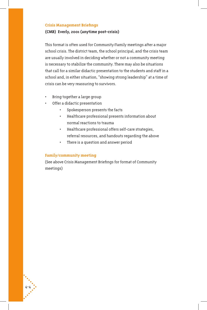### **Crisis Management Briefings**

#### **(CMB) Everly, 2001 (anytime post-crisis)**

This format is often used for Community/Family meetings after a major school crisis. The district team, the school principal, and the crisis team are usually involved in deciding whether or not a community meeting is necessary to stabilize the community. There may also be situations that call for a similar didactic presentation to the students and staff in a school and, in either situation, "showing strong leadership" at a time of crisis can be very reassuring to survivors.

- Bring together a large group
- Offer a didactic presentation
	- Spokesperson presents the facts
	- Healthcare professional presents information about normal reactions to trauma
	- Healthcare professional offers self-care strategies, referral resources, and handouts regarding the above
	- There is a question and answer period

### **Family/community meeting**

4-4

(See above Crisis Management Briefings for format of Community meetings)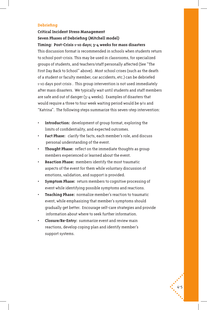### **Debriefing**

### **Critical Incident Stress Management Seven Phases of Debriefing (Mitchell model) Timing: Post-Crisis 1-10 days; 3-4 weeks for mass disasters**

This discussion format is recommended in schools when students return to school post-crisis. This may be used in classrooms, for specialized groups of students, and teachers/staff personally affected (See "The First Day Back to School" above). Most school crises (such as the death of a student or faculty member, car accidents, etc.) can be debriefed 1-10 days post crisis . This group intervention is not used immediately after mass disasters. We typically wait until students and staff members are safe and out of danger (3-4 weeks). Examples of disasters that would require a three to four week waiting period would be 9/11 and "Katrina". The following steps summarize this seven-step intervention:

- **Introduction:** development of group format, exploring the limits of confidentiality, and expected outcomes.
- Fact Phase: clarify the facts, each member's role, and discuss personal understanding of the event.
- **Thought Phase:** reflect on the immediate thoughts as group members experienced or learned about the event.
- **Reaction Phase:** members identify the most traumatic aspects of the event for them while voluntary discussion of emotions, validation, and support is provided.
- **Symptom Phase:** return members to cognitive processing of event while identifying possible symptoms and reactions.
- **Teaching Phase:** normalize member's reaction to traumatic event, while emphasizing that member's symptoms should gradually get better. Encourage self-care strategies and provide information about where to seek further information.
- **Closure/Re-Entry:** summarize event and review main reactions, develop coping plan and identify member's support systems.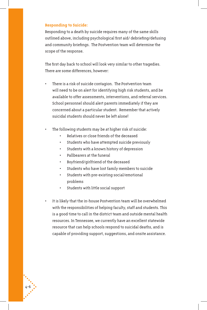#### **Responding to Suicide:**

Responding to a death by suicide requires many of the same skills outlined above, including psychological first aid/ debriefing/defusing and community briefings. The Postvention team will determine the scope of the response.

The first day back to school will look very similar to other tragedies. There are some differences, however:

- There is a risk of suicide contagion. The Postvention team will need to be on alert for identifying high risk students, and be available to offer assessments, interventions, and referral services. School personnel should alert parents immediately if they are concerned about a particular student. Remember that actively suicidal students should never be left alone!
	- The following students may be at higher risk of suicide:
		- Relatives or close friends of the deceased
		- Students who have attempted suicide previously
		- Students with a known history of depression
		- Pallbearers at the funeral
		- Boyfriend/girlfriend of the deceased
		- Students who have lost family members to suicide
		- Students with pre-existing social/emotional problems
		- Students with little social support
- It is likely that the in-house Postvention team will be overwhelmed with the responsibilities of helping faculty, staff and students. This is a good time to call in the district team and outside mental health resources. In Tennessee, we currently have an excellent statewide resource that can help schools respond to suicidal deaths, and is capable of providing support, suggestions, and onsite assistance.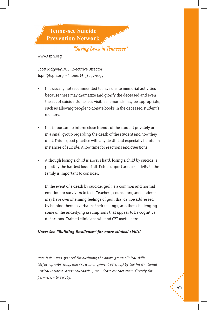**Tennessee Suicide Prevention Network** 

### "Saving Lives in Tennessee"

www.tspn.org

Scott Ridgway, M.S. Executive Director tspn@tspn.org • Phone: (615) 297-1077

- It is usually not recommended to have onsite memorial activities because these may dramatize and glorify the deceased and even the act of suicide. Some less visible memorials may be appropriate, such as allowing people to donate books in the deceased student's memory.
- It is important to inform close friends of the student privately or in a small group regarding the death of the student and how they died. This is good practice with any death, but especially helpful in instances of suicide. Allow time for reactions and questions.
- Although losing a child is always hard, losing a child by suicide is possibly the hardest loss of all. Extra support and sensitivity to the family is important to consider.

In the event of a death by suicide, guilt is a common and normal emotion for survivors to feel. Teachers, counselors, and students may have overwhelming feelings of guilt that can be addressed by helping them to verbalize their feelings, and then challenging some of the underlying assumptions that appear to be cognitive distortions. Trained clinicians will find CBT useful here.

### *Note: See "Building Resilience" for more clinical skills!*

*Permission was granted for outlining the above group clinical skills (defusing, debriefing, and crisis management briefing) by the International Critical Incident Stress Foundation, Inc. Please contact them directly for permission to recopy.*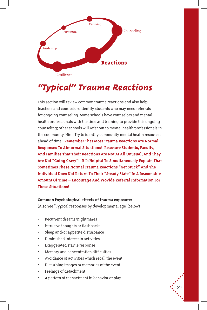

# *"Typical" Trauma Reactions*

This section will review common trauma reactions and also help teachers and counselors identify students who may need referrals for ongoing counseling. Some schools have counselors and mental health professionals with the time and training to provide this ongoing counseling; other schools will refer out to mental health professionals in the community. Hint: Try to identify community mental health resources ahead of time! **Remember That Most Trauma Reactions Are Normal Responses To Abnormal Situations! Reassure Students, Faculty, And Families That Their Reactions Are Not At All Unusual, And They Are Not "Going Crazy"! It Is Helpful To Simultaneously Explain That Sometimes These Normal Trauma Reactions "Get Stuck" And The Individual Does Not Return To Their "Steady State" In A Reasonable Amount Of Time – Encourage And Provide Referral Information For These Situations!**

### **Common Psychological effects of trauma exposure:**

(Also See "Typical responses by developmental age" below)

- Recurrent dreams/nightmares
- Intrusive thoughts or flashbacks
- Sleep and/or appetite disturbance
- Diminished interest in activities
- Exaggerated startle response
- Memory and concentration difficulties
- Avoidance of activities which recall the event
- Disturbing images or memories of the event
- Feelings of detachment
- A pattern of reenactment in behavior or play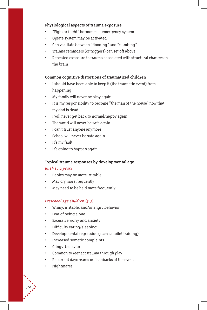### **Physiological aspects of trauma exposure**

- "Fight or flight" hormones emergency system
- Opiate system may be activated
- Can vacillate between "flooding" and "numbing"
- Trauma reminders (or triggers) can set off above
- Repeated exposure to trauma associated with structural changes in the brain

### **Common cognitive distortions of traumatized children**

- I should have been able to keep it (the traumatic event) from happening
- My family will never be okay again
- It is my responsibility to become "the man of the house" now that my dad is dead
- I will never get back to normal/happy again
- The world will never be safe again
- I can't trust anyone anymore
- School will never be safe again
- It's my fault
- It's going to happen again

### **Typical trauma responses by developmental age**

#### *Birth to 2 years*

- Babies may be more irritable
- May cry more frequently
- May need to be held more frequently

### *Preschool Age Children (3-5)*

- Whiny, irritable, and/or angry behavior
- Fear of being alone
- Excessive worry and anxiety
- Difficulty eating/sleeping
- Developmental regression (such as toilet training)
- Increased somatic complaints
- Clingy behavior
- Common to reenact trauma through play
- Recurrent daydreams or flashbacks of the event
- Nightmares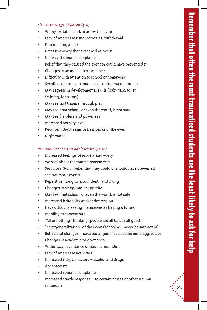### *Elementary Age Children (5-11)*

- Whiny, irritable, and/or angry behavior
- Lack of interest in usual activities, withdrawal
- Fear of being alone
- Excessive worry that event will re-occur
- Increased somatic complaints
- Belief that they caused the event or could have prevented it
- Changes in academic performance
- Difficulty with attention to school or homework
- Sensitive or jumpy to loud noises or trauma reminders
- May regress in developmental skills (baby talk, toilet training, tantrums)
- May reenact trauma through play
- May feel that school, or even the world, is not safe
- May feel helpless and powerless
- Increased activity level
- Recurrent daydreams or flashbacks of the event
- Nightmares

### *Pre-adolescence and Adolescence (12-18)*

- Increased feelings of anxiety and worry
- Worries about the trauma reoccurring
- Survivor's Guilt (belief that they could or should have prevented the traumatic event)
- Repetitive thoughts about death and dying
- Changes in sleep/and or appetite
- May feel that school, or even the world, is not safe
- Increased irritability and/or depression
- Have difficulty seeing themselves as having a future
- Inability to concentrate
- "All or nothing" thinking (people are all bad or all good)
- "Overgeneralization" of the event (school will never be safe again)
- Behavioral changes, increased anger, may become more aggressive
- Changes in academic performance
- Withdrawal, avoidance of trauma reminders
- Lack of interest in activities
- Increased risky behaviors –alcohol and drugs
- Absenteeism
- Increased somatic complaints
- Increased startle response  $-$  to certain noises or other trauma reminders  $\begin{array}{ccc} \bullet & 5-3 \end{array}$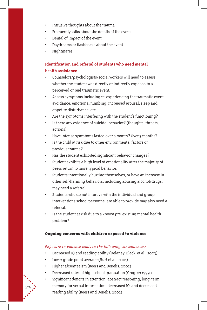- Intrusive thoughts about the trauma
- Frequently talks about the details of the event
- Denial of impact of the event
- Daydreams or flashbacks about the event
- Nightmares

### **Identification and referral of students who need mental health assistance**

- Counselors/psychologists/social workers will need to assess whether the student was directly or indirectly exposed to a perceived or real traumatic event.
- Assess symptoms including re-experiencing the traumatic event, avoidance, emotional numbing, increased arousal, sleep and appetite disturbance, etc.
- Are the symptoms interfering with the student's functioning?
- Is there any evidence of suicidal behavior? (thoughts, threats, actions)
- Have intense symptoms lasted over a month? Over 3 months?
- Is the child at risk due to other environmental factors or previous trauma?
- Has the student exhibited significant behavior changes?
- Student exhibits a high level of emotionality after the majority of peers return to more typical behavior.
- Students intentionally hurting themselves, or have an increase in other self-harming behaviors, including abusing alcohol/drugs, may need a referral.
- Students who do not improve with the individual and group interventions school personnel are able to provide may also need a referral.
- Is the student at risk due to a known pre-existing mental health problem?

### **Ongoing concerns with children exposed to violence**

### *Exposure to violence leads to the following consequences:*

- Decreased IQ and reading ability (Delaney-Black et al., 2003)
- Lower grade point average (Hurt et al., 2001)

- Higher absenteeism (Beers and DeBelis, 2002)
- Decreased rates of high school graduation (Grogger 19970
- Significant deficits in attention, abstract reasoning, long-term memory for verbal information, decreased IQ, and decreased reading ability (Beers and DeBelis, 2002)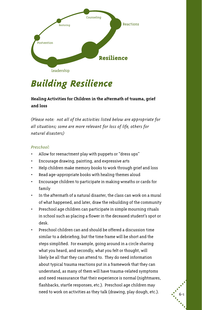

## *Building Resilience*

### **Healing Activities for Children in the aftermath of trauma, grief and loss**

*(Please note: not all of the activities listed below are appropriate for all situations; some are more relevant for loss of life, others for natural disasters)*

### *Preschool:*

- Allow for reenactment play with puppets or "dress ups"
- Encourage drawing, painting, and expressive arts
- Help children make memory books to work through grief and loss
- Read age-appropriate books with healing themes aloud
- Encourage children to participate in making wreaths or cards for family
- In the aftermath of a natural disaster, the class can work on a mural of what happened, and later, draw the rebuilding of the community
- Preschool age children can participate in simple mourning rituals in school such as placing a flower in the deceased student's spot or desk.
- Preschool children can and should be offered a discussion time similar to a debriefing, but the time frame will be short and the steps simplified. For example, going around in a circle sharing what you heard, and secondly, what you felt or thought, will likely be all that they can attend to. They do need information about typical trauma reactions put in a framework that they can understand, as many of them will have trauma-related symptoms and need reassurance that their experience is normal (nightmares, flashbacks, startle responses, etc.). Preschool age children may need to work on activities as they talk (drawing, play dough, etc.).  $\begin{array}{c} \bullet \\ \bullet \\ \bullet \end{array}$  6-1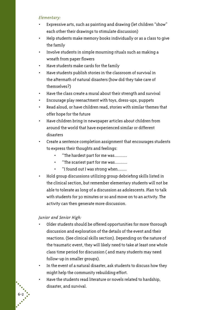### *Elementary:*

- Expressive arts, such as painting and drawing (let children "show" each other their drawings to stimulate discussion)
- • Help students make memory books individually or as a class to give the family
- • Involve students in simple mourning rituals such as making a wreath from paper flowers
- Have students make cards for the family
- • Have students publish stories in the classroom of survival in the aftermath of natural disasters (how did they take care of themselves?)
- • Have the class create a mural about their strength and survival
- • Encourage play reenactment with toys, dress-ups, puppets
- • Read aloud, or have children read, stories with similar themes that offer hope for the future
- Have children bring in newspaper articles about children from around the world that have experienced similar or different disasters
- • Create a sentence completion assignment that encourages students to express their thoughts and feelings:
	- "The hardest part for me was...........
	- "The scariest part for me was...........
	- "I found out I was strong when.......
- Hold group discussions utilizing group debriefing skills listed in the clinical section, but remember elementary students will not be able to tolerate as long of a discussion as adolescents. Plan to talk with students for 30 minutes or so and move on to an activity. The activity can then generate more discussion.

*Junior and Senior High:*

- Older students should be offered opportunities for more thorough discussion and exploration of the details of the event and their reactions. (See clinical skills section). Depending on the nature of the traumatic event, they will likely need to take at least one whole class time period for discussion ( and many students may need follow-up in smaller groups).
- In the event of a natural disaster, ask students to discuss how they might help the community rebuilding effort.
- Have the students read literature or novels related to hardship, disaster, and survival.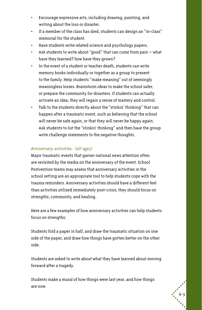- Encourage expressive arts, including drawing, painting, and writing about the loss or disaster.
- • If a member of the class has died, students can design an "in-class" memorial for the student.
- Have students write related science and psychology papers.
- Ask students to write about "good" that can come from pain  $-$  what have they learned? how have they grown?
- • In the event of a student or teacher death, students can write memory books individually or together as a group to present to the family. Help students "make meaning" out of seemingly meaningless losses. Brainstorm ideas to make the school safer, or prepare the community for disasters. If students can actually activate an idea, they will regain a sense of mastery and control.
- Talk to the students directly about the "stinkin' thinking" that can happen after a traumatic event, such as believing that the school will never be safe again, or that they will never be happy again. Ask students to list the "stinkin' thinking" and then have the group write challenge statements to the negative thoughts.

### *Anniversary activities: (all ages)*

Major traumatic events that garner national news attention often are revisited by the media on the anniversary of the event. School Postvention teams may assess that anniversary activities in the school setting are an appropriate tool to help students cope with the trauma reminders. Anniversary activities should have a different feel than activities utilized immediately post-crisis; they should focus on strengths, community, and healing.

Here are a few examples of how anniversary activities can help students focus on strengths:

Students fold a paper in half, and draw the traumatic situation on one side of the paper, and draw how things have gotten better on the other side.

Students are asked to write about what they have learned about moving forward after a tragedy.

Students make a mural of how things were last year, and how things are now.

 $\begin{pmatrix} 1 \\ -6 & -3 \\ 0 & 1 \end{pmatrix}$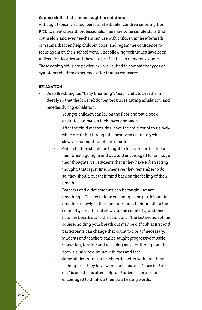### **Coping skills that can be taught to children:**

Although typically school personnel will refer children suffering from PTSD to mental health professionals, there are some simple skills that counselors and even teachers can use with children in the aftermath of trauma that can help children cope, and regain the confidence to focus again on their school work. The following techniques have been utilized for decades and shown to be effective in numerous studies. These coping skills are particularly well suited to combat the types of symptoms children experience after trauma exposure:

#### **RELAXATION**

- Deep Breathing i.e. "belly breathing". Teach child to breathe in deeply so that the lower abdomen protrudes during inhalation, and recedes during exhalation.
	- • Younger children can lay on the floor and put a book or stuffed animal on their lower abdomen.
	- After the child masters this, have the child count to 5 slowly while breathing through the nose, and count to 5 while slowly exhaling through the mouth.
	- • Older children should be taught to focus on the feeling of their breath going in and out, and encouraged to not judge their thoughts. Tell students that if they have a distracting thought, that is just fine, whenever they remember to do so, they should put their mind back on the feeling of their breath.
	- Teachers and older students can be taught "square breathing". This technique encourages the participant to breathe in slowly to the count of 4, hold their breath to the count of 4, breathe out slowly to the count of 4, and then hold the breath out to the count of 4. The last section of the square, holding your breath out may be difficult at first and participants can change that count to 2 or 3 if necessary.
	- • Students and teachers can be taught progressive muscle relaxation, tensing and releasing muscles throughout the body, usually beginning with toes and feet.
	- • Some students and/or teachers do better with breathing techniques if they have words to focus on. "Peace in, Stress out" is one that is often helpful. Students can also be encouraged to think up their own healing words.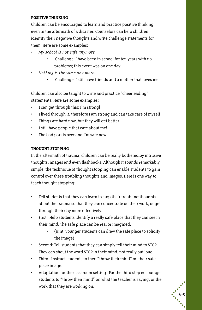### **POSITIVE THINKING**

Children can be encouraged to learn and practice positive thinking, even in the aftermath of a disaster. Counselors can help children identify their negative thoughts and write challenge statements for them. Here are some examples:

- *• My school is not safe anymore.* 
	- • Challenge: I have been in school for ten years with no problems; this event was on one day.
- *• Nothing is the same any more.* 
	- • Challenge: I still have friends and a mother that loves me.

Children can also be taught to write and practice "cheerleading" statements. Here are some examples:

- I can get through this; I'm strong!
- • I lived through it, therefore I am strong and can take care of myself!
- Things are hard now, but they will get better!
- I still have people that care about me!
- • The bad part is over and I'm safe now!

### **THOUGHT STOPPING**

In the aftermath of trauma, children can be really bothered by intrusive thoughts, images and even flashbacks. Although it sounds remarkably simple, the technique of thought stopping can enable students to gain control over these troubling thoughts and images. Here is one way to teach thought stopping:

- • Tell students that they can learn to stop their troubling thoughts about the trauma so that they can concentrate on their work, or get through their day more effectively.
- • First: Help students identify a really safe place that they can see in their mind. The safe place can be real or imagined.
	- • (Hint: younger students can draw the safe place to solidify the image)
- • Second: Tell students that they can simply tell their mind to STOP. They can shout the word STOP in their mind, not really out loud.
- • Third: Instruct students to then "throw their mind" on their safe place image.
- Adaptation for the classroom setting: For the third step encourage students to "throw their mind" on what the teacher is saying, or the work that they are working on.

 $\begin{pmatrix} 6-5 \\ -6-5 \end{pmatrix}$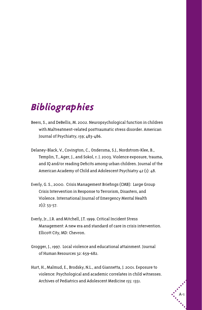### *Bibliographies*

- Beers, S., and DeBellis, M. 2002. Neuropsychological function in children with Maltreatment-related posttraumatic stress disorder. American Journal of Psychiatry, 159; 483-486.
- Delaney-Black, V., Covington, C., Ondersma, S.J., Nordstrom-Klee, B., Templin, T., Ager, J., and Sokol, r. J. 2003. Violence exposure, trauma, and IQ and/or reading Deficits among urban children. Journal of the American Academy of Child and Adolescent Psychiatry 42 (1): 48.
- Everly, G. S., 2000. Crisis Management Briefings (CMB): Large Group Crisis Intervention in Response to Terrorism, Disasters, and Violence. International Journal of Emergency Mental Health  $2(1)$ : 53-57.
- Everly, Jr., J.R. and Mitchell, J.T. 1999. Critical Incident Stress Management: A new era and standard of care in crisis intervention. Ellicott City, MD: Chevron.
- Grogger, J., 1997. Local violence and educational attainment. Journal of Human Resources 32: 659-682.
- Hurt, H., Malmud, E., Brodsky, N.L., and Giannetta, J. 2001. Exposure to violence: Psychological and academic correlates in child witnesses. Archives of Pediatrics and Adolescent Medicine 155: 1351.

A-1